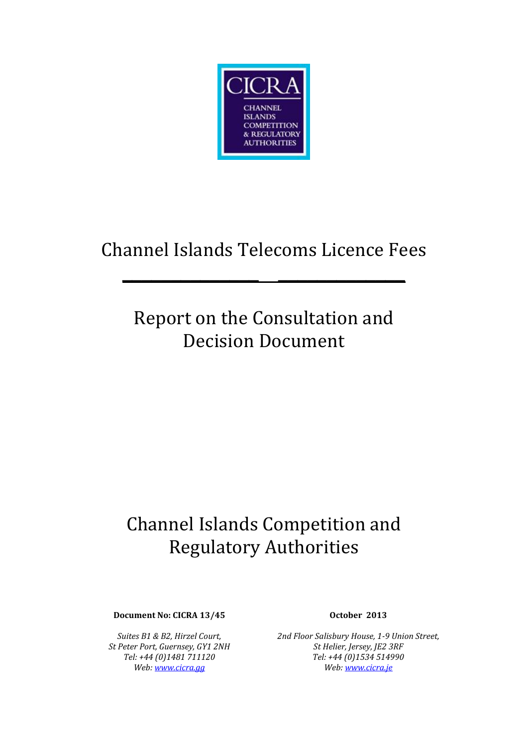

# Channel Islands Telecoms Licence Fees

**\_\_\_\_\_\_\_\_\_\_\_\_\_\_ \_\_\_\_\_\_\_\_\_\_\_\_\_**

# Report on the Consultation and Decision Document

# Channel Islands Competition and Regulatory Authorities

**Document No: CICRA 13/45 October 2013**

*Suites B1 & B2, Hirzel Court, St Peter Port, Guernsey, GY1 2NH Tel: +44 (0)1481 711120 Web[: www.cicra.gg](http://www.cicra.gg/)*

*2nd Floor Salisbury House, 1-9 Union Street, St Helier, Jersey, JE2 3RF Tel: +44 (0)1534 514990 Web: [www.cicra.je](http://www.cicra.je/)*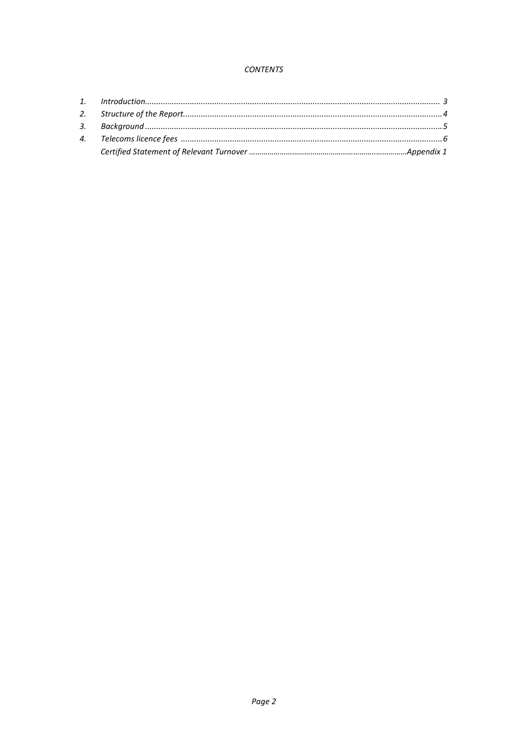#### **CONTENTS**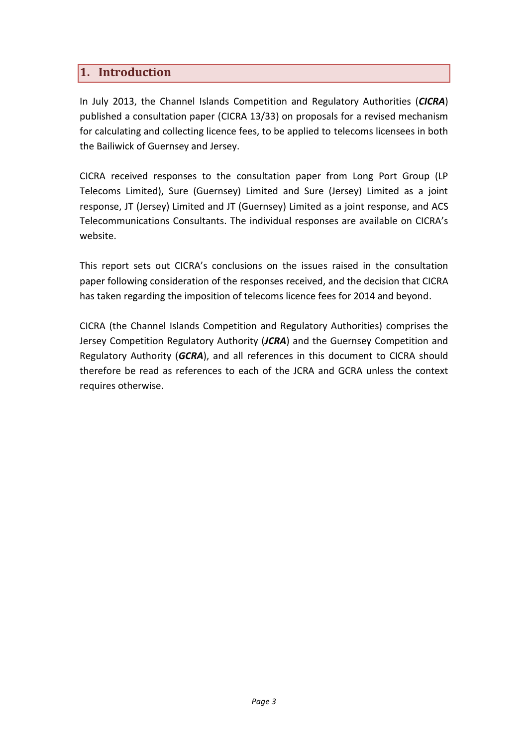# **1. Introduction**

In July 2013, the Channel Islands Competition and Regulatory Authorities (*CICRA*) published a consultation paper (CICRA 13/33) on proposals for a revised mechanism for calculating and collecting licence fees, to be applied to telecoms licensees in both the Bailiwick of Guernsey and Jersey.

CICRA received responses to the consultation paper from Long Port Group (LP Telecoms Limited), Sure (Guernsey) Limited and Sure (Jersey) Limited as a joint response, JT (Jersey) Limited and JT (Guernsey) Limited as a joint response, and ACS Telecommunications Consultants. The individual responses are available on CICRA's website.

This report sets out CICRA's conclusions on the issues raised in the consultation paper following consideration of the responses received, and the decision that CICRA has taken regarding the imposition of telecoms licence fees for 2014 and beyond.

CICRA (the Channel Islands Competition and Regulatory Authorities) comprises the Jersey Competition Regulatory Authority (*JCRA*) and the Guernsey Competition and Regulatory Authority (*GCRA*), and all references in this document to CICRA should therefore be read as references to each of the JCRA and GCRA unless the context requires otherwise.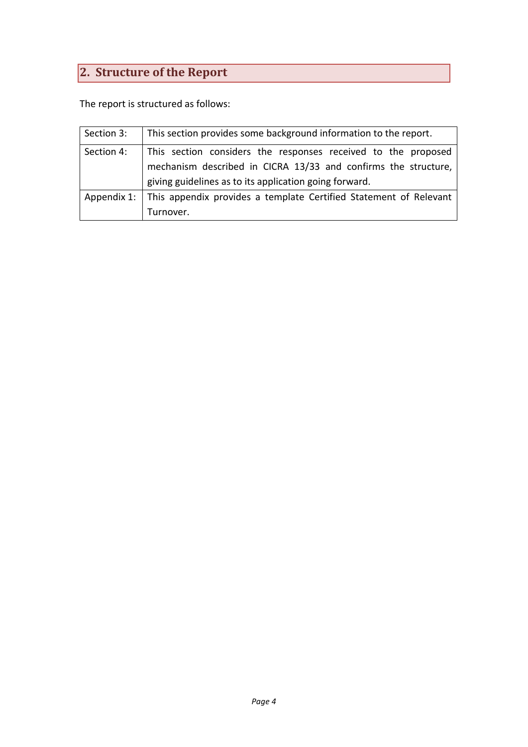# <span id="page-3-0"></span>**2. Structure of the Report**

The report is structured as follows:

| Section 3: | This section provides some background information to the report.              |
|------------|-------------------------------------------------------------------------------|
| Section 4: | This section considers the responses received to the proposed                 |
|            | mechanism described in CICRA 13/33 and confirms the structure,                |
|            | giving guidelines as to its application going forward.                        |
|            | Appendix 1: This appendix provides a template Certified Statement of Relevant |
|            | Turnover.                                                                     |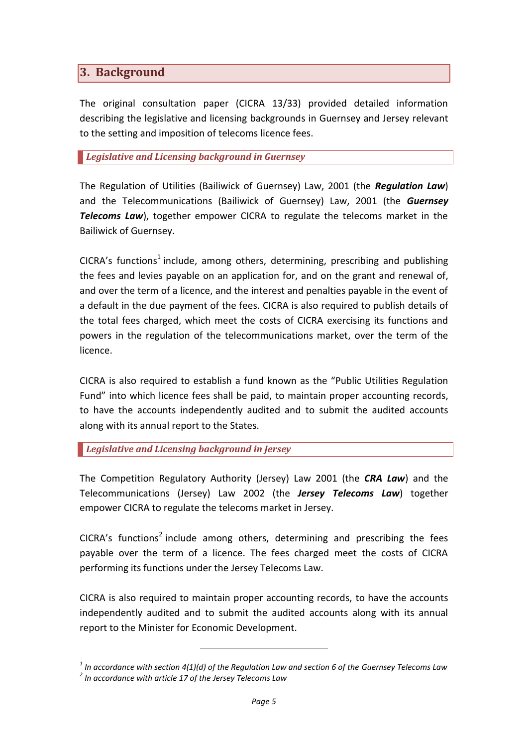# <span id="page-4-0"></span>**3. Background**

The original consultation paper (CICRA 13/33) provided detailed information describing the legislative and licensing backgrounds in Guernsey and Jersey relevant to the setting and imposition of telecoms licence fees.

#### *Legislative and Licensing background in Guernsey*

The Regulation of Utilities (Bailiwick of Guernsey) Law, 2001 (the *Regulation Law*) and the Telecommunications (Bailiwick of Guernsey) Law, 2001 (the *Guernsey Telecoms Law*), together empower CICRA to regulate the telecoms market in the Bailiwick of Guernsey.

CICRA's functions<sup>1</sup> include, among others, determining, prescribing and publishing the fees and levies payable on an application for, and on the grant and renewal of, and over the term of a licence, and the interest and penalties payable in the event of a default in the due payment of the fees. CICRA is also required to publish details of the total fees charged, which meet the costs of CICRA exercising its functions and powers in the regulation of the telecommunications market, over the term of the licence.

CICRA is also required to establish a fund known as the "Public Utilities Regulation Fund" into which licence fees shall be paid, to maintain proper accounting records, to have the accounts independently audited and to submit the audited accounts along with its annual report to the States.

#### *Legislative and Licensing background in Jersey*

The Competition Regulatory Authority (Jersey) Law 2001 (the *CRA Law*) and the Telecommunications (Jersey) Law 2002 (the *Jersey Telecoms Law*) together empower CICRA to regulate the telecoms market in Jersey.

CICRA's functions<sup>2</sup> include among others, determining and prescribing the fees payable over the term of a licence. The fees charged meet the costs of CICRA performing its functions under the Jersey Telecoms Law.

CICRA is also required to maintain proper accounting records, to have the accounts independently audited and to submit the audited accounts along with its annual report to the Minister for Economic Development.

*<sup>1</sup> In accordance with section 4(1)(d) of the Regulation Law and section 6 of the Guernsey Telecoms Law 2 In accordance with article 17 of the Jersey Telecoms Law*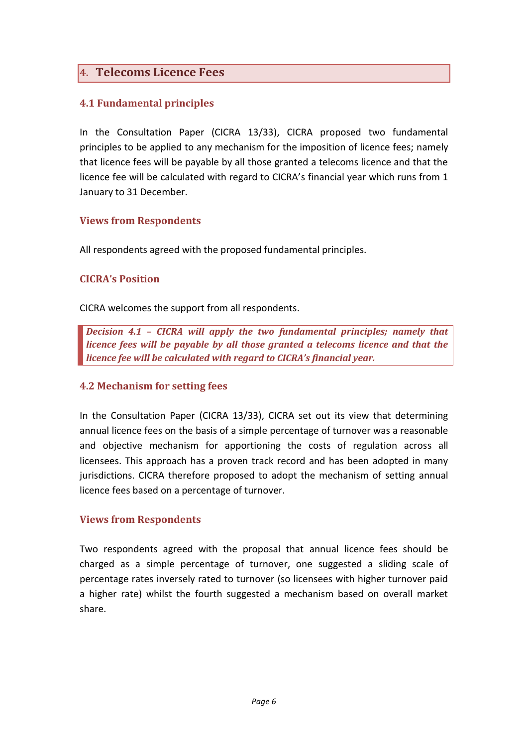# **4. Telecoms Licence Fees**

# **4.1 Fundamental principles**

In the Consultation Paper (CICRA 13/33), CICRA proposed two fundamental principles to be applied to any mechanism for the imposition of licence fees; namely that licence fees will be payable by all those granted a telecoms licence and that the licence fee will be calculated with regard to CICRA's financial year which runs from 1 January to 31 December.

#### **Views from Respondents**

All respondents agreed with the proposed fundamental principles.

#### **CICRA's Position**

CICRA welcomes the support from all respondents.

*Decision 4.1 – CICRA will apply the two fundamental principles; namely that licence fees will be payable by all those granted a telecoms licence and that the licence fee will be calculated with regard to CICRA's financial year.*

#### **4.2 Mechanism for setting fees**

In the Consultation Paper (CICRA 13/33), CICRA set out its view that determining annual licence fees on the basis of a simple percentage of turnover was a reasonable and objective mechanism for apportioning the costs of regulation across all licensees. This approach has a proven track record and has been adopted in many jurisdictions. CICRA therefore proposed to adopt the mechanism of setting annual licence fees based on a percentage of turnover.

#### **Views from Respondents**

Two respondents agreed with the proposal that annual licence fees should be charged as a simple percentage of turnover, one suggested a sliding scale of percentage rates inversely rated to turnover (so licensees with higher turnover paid a higher rate) whilst the fourth suggested a mechanism based on overall market share.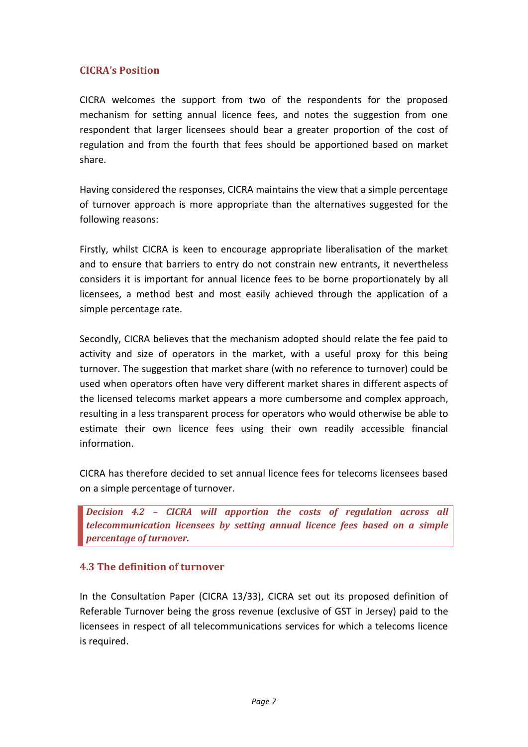# **CICRA's Position**

CICRA welcomes the support from two of the respondents for the proposed mechanism for setting annual licence fees, and notes the suggestion from one respondent that larger licensees should bear a greater proportion of the cost of regulation and from the fourth that fees should be apportioned based on market share.

Having considered the responses, CICRA maintains the view that a simple percentage of turnover approach is more appropriate than the alternatives suggested for the following reasons:

Firstly, whilst CICRA is keen to encourage appropriate liberalisation of the market and to ensure that barriers to entry do not constrain new entrants, it nevertheless considers it is important for annual licence fees to be borne proportionately by all licensees, a method best and most easily achieved through the application of a simple percentage rate.

Secondly, CICRA believes that the mechanism adopted should relate the fee paid to activity and size of operators in the market, with a useful proxy for this being turnover. The suggestion that market share (with no reference to turnover) could be used when operators often have very different market shares in different aspects of the licensed telecoms market appears a more cumbersome and complex approach, resulting in a less transparent process for operators who would otherwise be able to estimate their own licence fees using their own readily accessible financial information.

CICRA has therefore decided to set annual licence fees for telecoms licensees based on a simple percentage of turnover.

*Decision 4.2 – CICRA will apportion the costs of regulation across all telecommunication licensees by setting annual licence fees based on a simple percentage of turnover.*

#### **4.3 The definition of turnover**

In the Consultation Paper (CICRA 13/33), CICRA set out its proposed definition of Referable Turnover being the gross revenue (exclusive of GST in Jersey) paid to the licensees in respect of all telecommunications services for which a telecoms licence is required.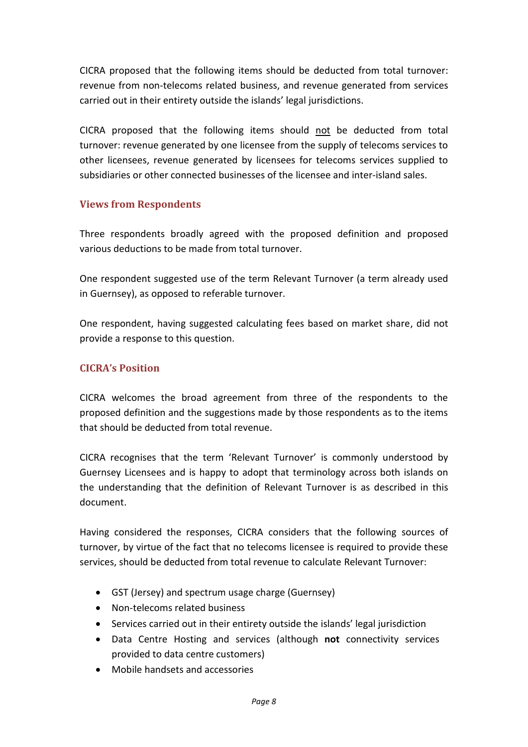CICRA proposed that the following items should be deducted from total turnover: revenue from non-telecoms related business, and revenue generated from services carried out in their entirety outside the islands' legal jurisdictions.

CICRA proposed that the following items should not be deducted from total turnover: revenue generated by one licensee from the supply of telecoms services to other licensees, revenue generated by licensees for telecoms services supplied to subsidiaries or other connected businesses of the licensee and inter-island sales.

### **Views from Respondents**

Three respondents broadly agreed with the proposed definition and proposed various deductions to be made from total turnover.

One respondent suggested use of the term Relevant Turnover (a term already used in Guernsey), as opposed to referable turnover.

One respondent, having suggested calculating fees based on market share, did not provide a response to this question.

### **CICRA's Position**

CICRA welcomes the broad agreement from three of the respondents to the proposed definition and the suggestions made by those respondents as to the items that should be deducted from total revenue.

CICRA recognises that the term 'Relevant Turnover' is commonly understood by Guernsey Licensees and is happy to adopt that terminology across both islands on the understanding that the definition of Relevant Turnover is as described in this document.

Having considered the responses, CICRA considers that the following sources of turnover, by virtue of the fact that no telecoms licensee is required to provide these services, should be deducted from total revenue to calculate Relevant Turnover:

- GST (Jersey) and spectrum usage charge (Guernsey)
- Non-telecoms related business
- Services carried out in their entirety outside the islands' legal jurisdiction
- Data Centre Hosting and services (although **not** connectivity services provided to data centre customers)
- Mobile handsets and accessories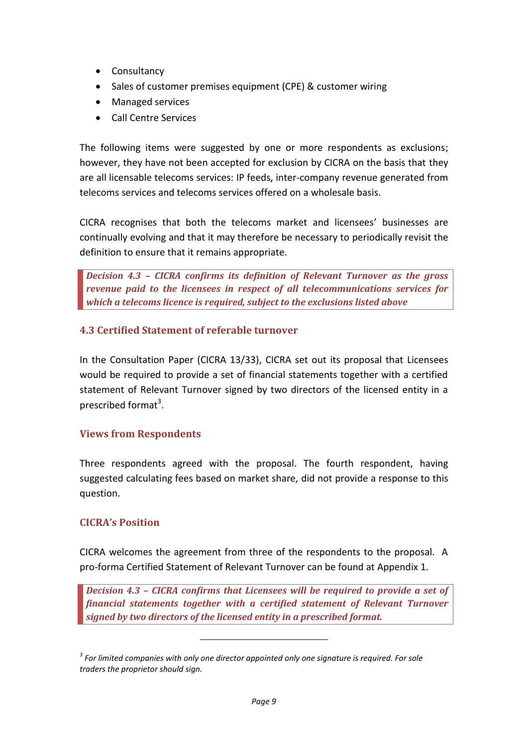- Consultancy
- Sales of customer premises equipment (CPE) & customer wiring
- Managed services
- Call Centre Services

The following items were suggested by one or more respondents as exclusions; however, they have not been accepted for exclusion by CICRA on the basis that they are all licensable telecoms services: IP feeds, inter-company revenue generated from telecoms services and telecoms services offered on a wholesale basis.

CICRA recognises that both the telecoms market and licensees' businesses are continually evolving and that it may therefore be necessary to periodically revisit the definition to ensure that it remains appropriate.

*Decision 4.3 – CICRA confirms its definition of Relevant Turnover as the gross revenue paid to the licensees in respect of all telecommunications services for which a telecoms licence is required, subject to the exclusions listed above*

#### **4.3 Certified Statement of referable turnover**

In the Consultation Paper (CICRA 13/33), CICRA set out its proposal that Licensees would be required to provide a set of financial statements together with a certified statement of Relevant Turnover signed by two directors of the licensed entity in a prescribed format<sup>3</sup>.

#### **Views from Respondents**

Three respondents agreed with the proposal. The fourth respondent, having suggested calculating fees based on market share, did not provide a response to this question.

#### **CICRA's Position**

CICRA welcomes the agreement from three of the respondents to the proposal. A pro-forma Certified Statement of Relevant Turnover can be found at Appendix 1.

*Decision 4.3 – CICRA confirms that Licensees will be required to provide a set of financial statements together with a certified statement of Relevant Turnover signed by two directors of the licensed entity in a prescribed format.*

*<sup>3</sup> For limited companies with only one director appointed only one signature is required. For sole traders the proprietor should sign.*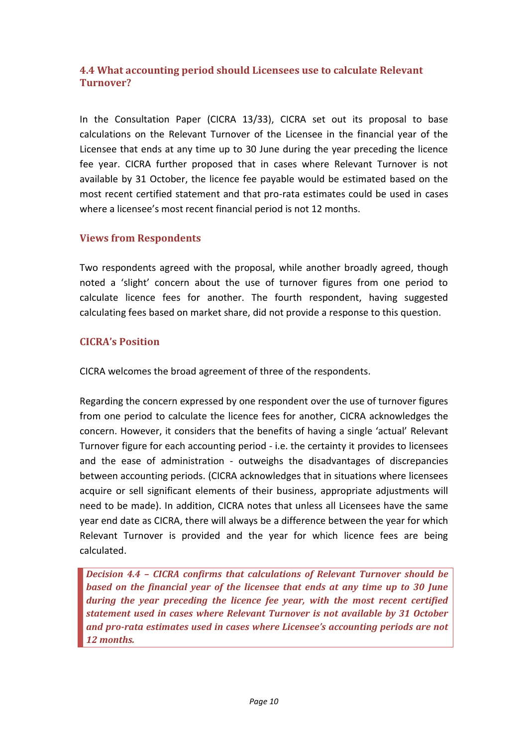# **4.4 What accounting period should Licensees use to calculate Relevant Turnover?**

In the Consultation Paper (CICRA 13/33), CICRA set out its proposal to base calculations on the Relevant Turnover of the Licensee in the financial year of the Licensee that ends at any time up to 30 June during the year preceding the licence fee year. CICRA further proposed that in cases where Relevant Turnover is not available by 31 October, the licence fee payable would be estimated based on the most recent certified statement and that pro-rata estimates could be used in cases where a licensee's most recent financial period is not 12 months.

### **Views from Respondents**

Two respondents agreed with the proposal, while another broadly agreed, though noted a 'slight' concern about the use of turnover figures from one period to calculate licence fees for another. The fourth respondent, having suggested calculating fees based on market share, did not provide a response to this question.

### **CICRA's Position**

CICRA welcomes the broad agreement of three of the respondents.

Regarding the concern expressed by one respondent over the use of turnover figures from one period to calculate the licence fees for another, CICRA acknowledges the concern. However, it considers that the benefits of having a single 'actual' Relevant Turnover figure for each accounting period - i.e. the certainty it provides to licensees and the ease of administration - outweighs the disadvantages of discrepancies between accounting periods. (CICRA acknowledges that in situations where licensees acquire or sell significant elements of their business, appropriate adjustments will need to be made). In addition, CICRA notes that unless all Licensees have the same year end date as CICRA, there will always be a difference between the year for which Relevant Turnover is provided and the year for which licence fees are being calculated.

*Decision 4.4 – CICRA confirms that calculations of Relevant Turnover should be based on the financial year of the licensee that ends at any time up to 30 June during the year preceding the licence fee year, with the most recent certified statement used in cases where Relevant Turnover is not available by 31 October and pro-rata estimates used in cases where Licensee's accounting periods are not 12 months.*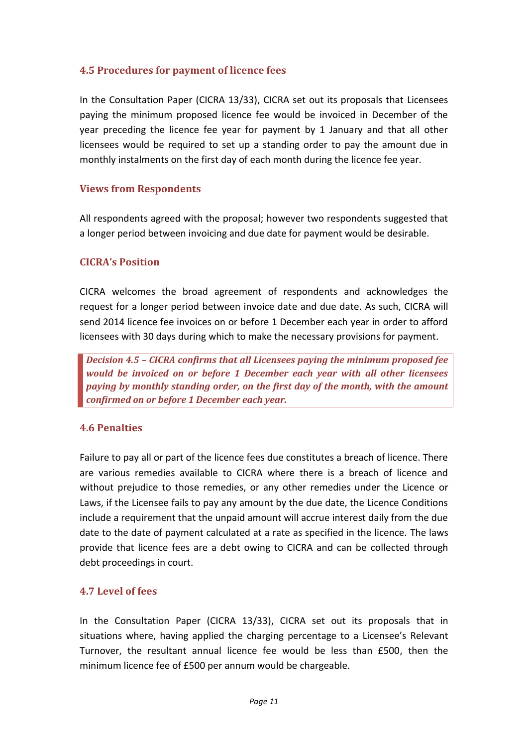# **4.5 Procedures for payment of licence fees**

In the Consultation Paper (CICRA 13/33), CICRA set out its proposals that Licensees paying the minimum proposed licence fee would be invoiced in December of the year preceding the licence fee year for payment by 1 January and that all other licensees would be required to set up a standing order to pay the amount due in monthly instalments on the first day of each month during the licence fee year.

### **Views from Respondents**

All respondents agreed with the proposal; however two respondents suggested that a longer period between invoicing and due date for payment would be desirable.

### **CICRA's Position**

CICRA welcomes the broad agreement of respondents and acknowledges the request for a longer period between invoice date and due date. As such, CICRA will send 2014 licence fee invoices on or before 1 December each year in order to afford licensees with 30 days during which to make the necessary provisions for payment.

*Decision 4.5 – CICRA confirms that all Licensees paying the minimum proposed fee would be invoiced on or before 1 December each year with all other licensees paying by monthly standing order, on the first day of the month, with the amount confirmed on or before 1 December each year.*

# **4.6 Penalties**

Failure to pay all or part of the licence fees due constitutes a breach of licence. There are various remedies available to CICRA where there is a breach of licence and without prejudice to those remedies, or any other remedies under the Licence or Laws, if the Licensee fails to pay any amount by the due date, the Licence Conditions include a requirement that the unpaid amount will accrue interest daily from the due date to the date of payment calculated at a rate as specified in the licence. The laws provide that licence fees are a debt owing to CICRA and can be collected through debt proceedings in court.

#### **4.7 Level of fees**

In the Consultation Paper (CICRA 13/33), CICRA set out its proposals that in situations where, having applied the charging percentage to a Licensee's Relevant Turnover, the resultant annual licence fee would be less than £500, then the minimum licence fee of £500 per annum would be chargeable.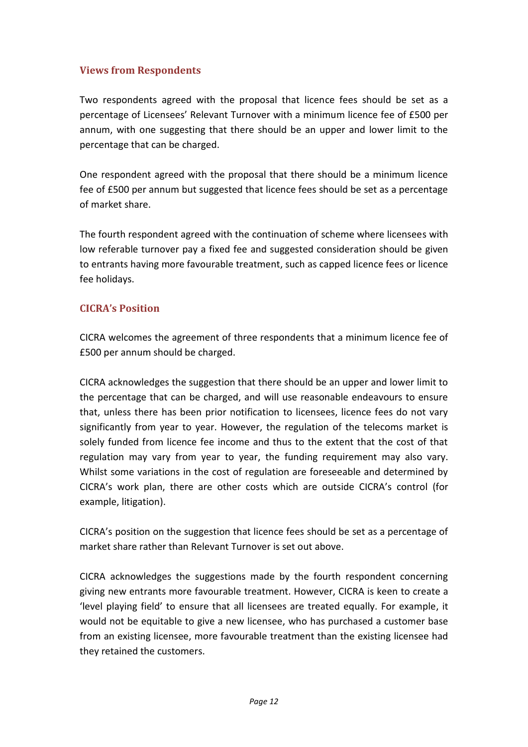# **Views from Respondents**

Two respondents agreed with the proposal that licence fees should be set as a percentage of Licensees' Relevant Turnover with a minimum licence fee of £500 per annum, with one suggesting that there should be an upper and lower limit to the percentage that can be charged.

One respondent agreed with the proposal that there should be a minimum licence fee of £500 per annum but suggested that licence fees should be set as a percentage of market share.

The fourth respondent agreed with the continuation of scheme where licensees with low referable turnover pay a fixed fee and suggested consideration should be given to entrants having more favourable treatment, such as capped licence fees or licence fee holidays.

# **CICRA's Position**

CICRA welcomes the agreement of three respondents that a minimum licence fee of £500 per annum should be charged.

CICRA acknowledges the suggestion that there should be an upper and lower limit to the percentage that can be charged, and will use reasonable endeavours to ensure that, unless there has been prior notification to licensees, licence fees do not vary significantly from year to year. However, the regulation of the telecoms market is solely funded from licence fee income and thus to the extent that the cost of that regulation may vary from year to year, the funding requirement may also vary. Whilst some variations in the cost of regulation are foreseeable and determined by CICRA's work plan, there are other costs which are outside CICRA's control (for example, litigation).

CICRA's position on the suggestion that licence fees should be set as a percentage of market share rather than Relevant Turnover is set out above.

CICRA acknowledges the suggestions made by the fourth respondent concerning giving new entrants more favourable treatment. However, CICRA is keen to create a 'level playing field' to ensure that all licensees are treated equally. For example, it would not be equitable to give a new licensee, who has purchased a customer base from an existing licensee, more favourable treatment than the existing licensee had they retained the customers.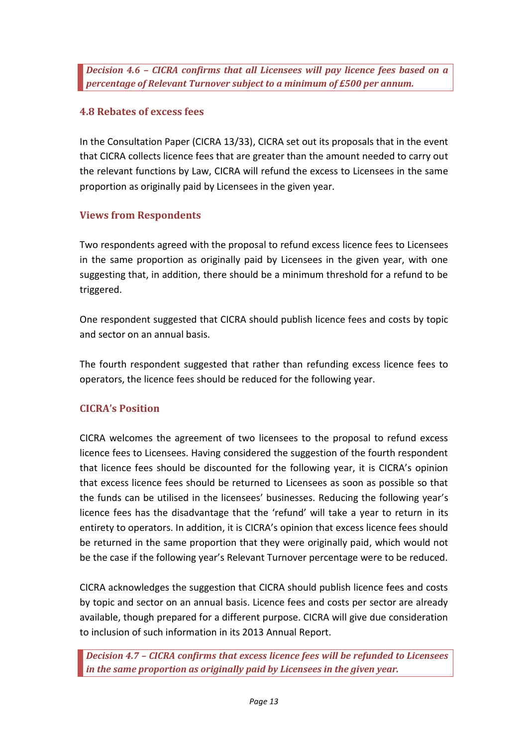*Decision 4.6 – CICRA confirms that all Licensees will pay licence fees based on a percentage of Relevant Turnover subject to a minimum of £500 per annum.*

# **4.8 Rebates of excess fees**

In the Consultation Paper (CICRA 13/33), CICRA set out its proposals that in the event that CICRA collects licence fees that are greater than the amount needed to carry out the relevant functions by Law, CICRA will refund the excess to Licensees in the same proportion as originally paid by Licensees in the given year.

# **Views from Respondents**

Two respondents agreed with the proposal to refund excess licence fees to Licensees in the same proportion as originally paid by Licensees in the given year, with one suggesting that, in addition, there should be a minimum threshold for a refund to be triggered.

One respondent suggested that CICRA should publish licence fees and costs by topic and sector on an annual basis.

The fourth respondent suggested that rather than refunding excess licence fees to operators, the licence fees should be reduced for the following year.

# **CICRA's Position**

CICRA welcomes the agreement of two licensees to the proposal to refund excess licence fees to Licensees. Having considered the suggestion of the fourth respondent that licence fees should be discounted for the following year, it is CICRA's opinion that excess licence fees should be returned to Licensees as soon as possible so that the funds can be utilised in the licensees' businesses. Reducing the following year's licence fees has the disadvantage that the 'refund' will take a year to return in its entirety to operators. In addition, it is CICRA's opinion that excess licence fees should be returned in the same proportion that they were originally paid, which would not be the case if the following year's Relevant Turnover percentage were to be reduced.

CICRA acknowledges the suggestion that CICRA should publish licence fees and costs by topic and sector on an annual basis. Licence fees and costs per sector are already available, though prepared for a different purpose. CICRA will give due consideration to inclusion of such information in its 2013 Annual Report.

*Decision 4.7 – CICRA confirms that excess licence fees will be refunded to Licensees in the same proportion as originally paid by Licensees in the given year.*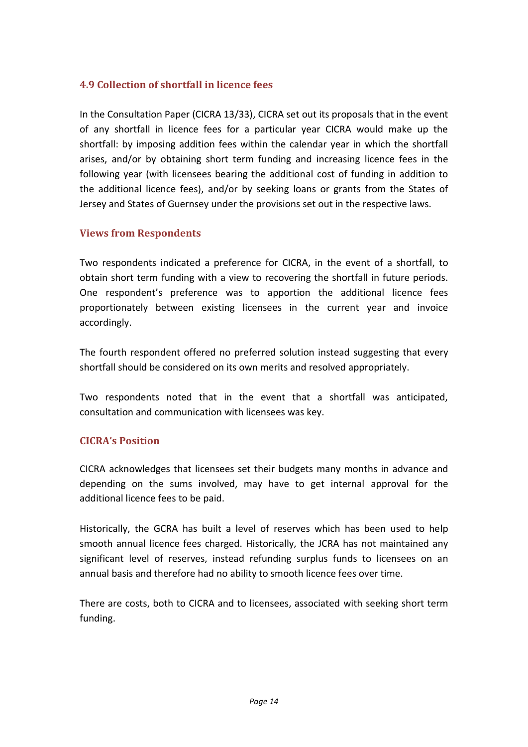# **4.9 Collection of shortfall in licence fees**

In the Consultation Paper (CICRA 13/33), CICRA set out its proposals that in the event of any shortfall in licence fees for a particular year CICRA would make up the shortfall: by imposing addition fees within the calendar year in which the shortfall arises, and/or by obtaining short term funding and increasing licence fees in the following year (with licensees bearing the additional cost of funding in addition to the additional licence fees), and/or by seeking loans or grants from the States of Jersey and States of Guernsey under the provisions set out in the respective laws.

# **Views from Respondents**

Two respondents indicated a preference for CICRA, in the event of a shortfall, to obtain short term funding with a view to recovering the shortfall in future periods. One respondent's preference was to apportion the additional licence fees proportionately between existing licensees in the current year and invoice accordingly.

The fourth respondent offered no preferred solution instead suggesting that every shortfall should be considered on its own merits and resolved appropriately.

Two respondents noted that in the event that a shortfall was anticipated, consultation and communication with licensees was key.

# **CICRA's Position**

CICRA acknowledges that licensees set their budgets many months in advance and depending on the sums involved, may have to get internal approval for the additional licence fees to be paid.

Historically, the GCRA has built a level of reserves which has been used to help smooth annual licence fees charged. Historically, the JCRA has not maintained any significant level of reserves, instead refunding surplus funds to licensees on an annual basis and therefore had no ability to smooth licence fees over time.

There are costs, both to CICRA and to licensees, associated with seeking short term funding.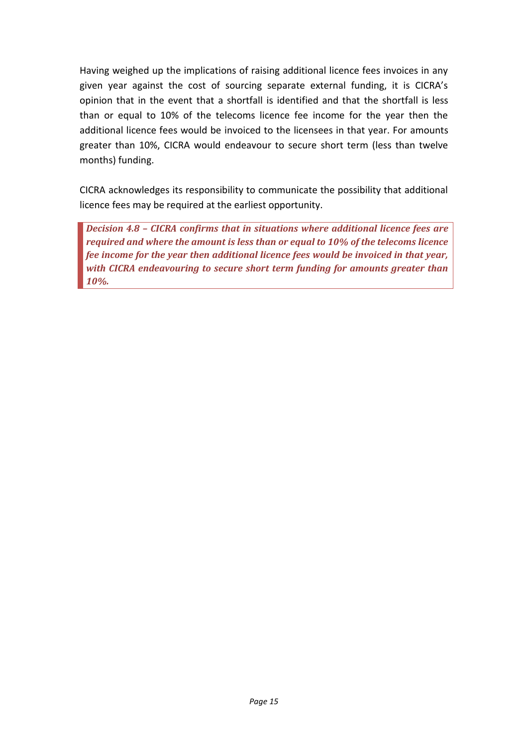Having weighed up the implications of raising additional licence fees invoices in any given year against the cost of sourcing separate external funding, it is CICRA's opinion that in the event that a shortfall is identified and that the shortfall is less than or equal to 10% of the telecoms licence fee income for the year then the additional licence fees would be invoiced to the licensees in that year. For amounts greater than 10%, CICRA would endeavour to secure short term (less than twelve months) funding.

CICRA acknowledges its responsibility to communicate the possibility that additional licence fees may be required at the earliest opportunity.

*Decision 4.8 – CICRA confirms that in situations where additional licence fees are required and where the amount is less than or equal to 10% of the telecoms licence fee income for the year then additional licence fees would be invoiced in that year, with CICRA endeavouring to secure short term funding for amounts greater than 10%.*